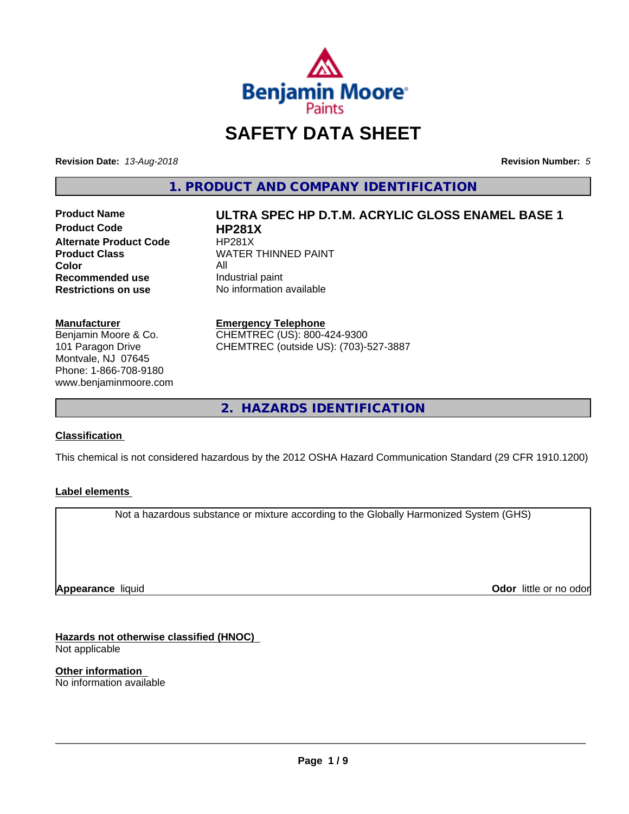

# **SAFETY DATA SHEET**

**Revision Date:** *13-Aug-2018* **Revision Number:** *5*

**1. PRODUCT AND COMPANY IDENTIFICATION**

**Product Code HP281X Alternate Product Code HP281X**<br>**Product Class NATER Color**<br> **Recommended use** The Industrial paint **Recommended use**<br>Restrictions on use

# **Product Name ULTRA SPEC HP D.T.M. ACRYLIC GLOSS ENAMEL BASE 1 WATER THINNED PAINT**

**No information available** 

**Manufacturer**

Benjamin Moore & Co. 101 Paragon Drive Montvale, NJ 07645 Phone: 1-866-708-9180 www.benjaminmoore.com

### **Emergency Telephone**

CHEMTREC (US): 800-424-9300 CHEMTREC (outside US): (703)-527-3887

**2. HAZARDS IDENTIFICATION**

### **Classification**

This chemical is not considered hazardous by the 2012 OSHA Hazard Communication Standard (29 CFR 1910.1200)

### **Label elements**

Not a hazardous substance or mixture according to the Globally Harmonized System (GHS)

**Appearance** liquid

**Odor** little or no odor

**Hazards not otherwise classified (HNOC)** Not applicable

**Other information** No information available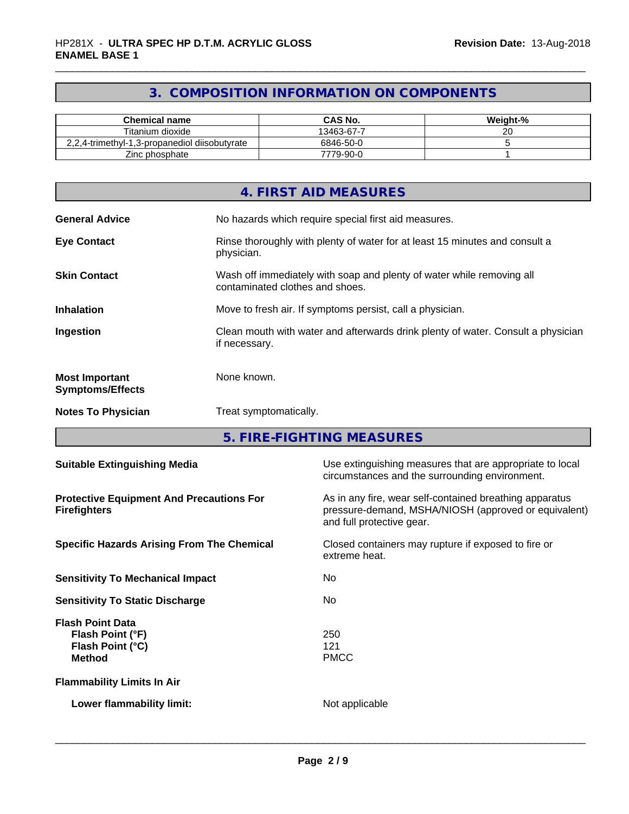### **3. COMPOSITION INFORMATION ON COMPONENTS**

| <b>Chemical name</b>                          | CAS No.    | Weight-% |
|-----------------------------------------------|------------|----------|
| Titanium dioxide                              | 13463-67-7 | ~~       |
| 2,2,4-trimethyl-1,3-propanediol diisobutyrate | 6846-50-0  |          |
| Zinc phosphate                                | 7779-90-0  |          |

|                                                  | 4. FIRST AID MEASURES                                                                                    |
|--------------------------------------------------|----------------------------------------------------------------------------------------------------------|
| <b>General Advice</b>                            | No hazards which require special first aid measures.                                                     |
| <b>Eye Contact</b>                               | Rinse thoroughly with plenty of water for at least 15 minutes and consult a<br>physician.                |
| <b>Skin Contact</b>                              | Wash off immediately with soap and plenty of water while removing all<br>contaminated clothes and shoes. |
| <b>Inhalation</b>                                | Move to fresh air. If symptoms persist, call a physician.                                                |
| Ingestion                                        | Clean mouth with water and afterwards drink plenty of water. Consult a physician<br>if necessary.        |
| <b>Most Important</b><br><b>Symptoms/Effects</b> | None known.                                                                                              |
| <b>Notes To Physician</b>                        | Treat symptomatically.                                                                                   |

**5. FIRE-FIGHTING MEASURES**

| <b>Suitable Extinguishing Media</b>                                              | Use extinguishing measures that are appropriate to local<br>circumstances and the surrounding environment.                                   |
|----------------------------------------------------------------------------------|----------------------------------------------------------------------------------------------------------------------------------------------|
| <b>Protective Equipment And Precautions For</b><br><b>Firefighters</b>           | As in any fire, wear self-contained breathing apparatus<br>pressure-demand, MSHA/NIOSH (approved or equivalent)<br>and full protective gear. |
| <b>Specific Hazards Arising From The Chemical</b>                                | Closed containers may rupture if exposed to fire or<br>extreme heat.                                                                         |
| <b>Sensitivity To Mechanical Impact</b>                                          | No.                                                                                                                                          |
| <b>Sensitivity To Static Discharge</b>                                           | No.                                                                                                                                          |
| <b>Flash Point Data</b><br>Flash Point (°F)<br>Flash Point (°C)<br><b>Method</b> | 250<br>121<br><b>PMCC</b>                                                                                                                    |
| <b>Flammability Limits In Air</b>                                                |                                                                                                                                              |
| Lower flammability limit:                                                        | Not applicable                                                                                                                               |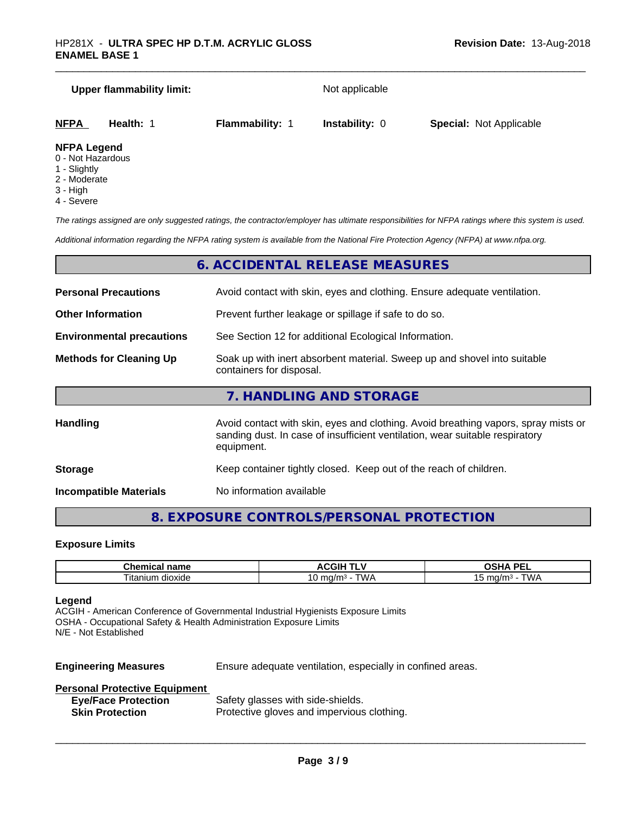# **Upper flammability limit:** Not applicable **NFPA Health:** 1 **Flammability:** 1 **Instability:** 0 **Special:** Not Applicable **NFPA Legend**

- 0 Not Hazardous
- 1 Slightly
- 2 Moderate
- 3 High
- 4 Severe

*The ratings assigned are only suggested ratings, the contractor/employer has ultimate responsibilities for NFPA ratings where this system is used.*

*Additional information regarding the NFPA rating system is available from the National Fire Protection Agency (NFPA) at www.nfpa.org.*

### **6. ACCIDENTAL RELEASE MEASURES**

**Storage** Keep container tightly closed. Keep out of the reach of children.

**Incompatible Materials** No information available

**8. EXPOSURE CONTROLS/PERSONAL PROTECTION**

### **Exposure Limits**

| <b>Champion</b><br>$-$<br>⊶ne.<br>.<br>$\blacksquare$<br>. | $\triangle W$<br>чu.           | <b>DE</b><br>$\mathbf{r}$<br>-- |
|------------------------------------------------------------|--------------------------------|---------------------------------|
| -<br>. itaniur<br>dioxide                                  | ٬۱۸٬<br>. 1/ r<br>.<br>U<br>שו | $max$ $sum$<br>. .              |

### **Legend**

ACGIH - American Conference of Governmental Industrial Hygienists Exposure Limits OSHA - Occupational Safety & Health Administration Exposure Limits N/E - Not Established

**Engineering Measures** Ensure adequate ventilation, especially in confined areas.

 $\overline{\phantom{a}}$  ,  $\overline{\phantom{a}}$  ,  $\overline{\phantom{a}}$  ,  $\overline{\phantom{a}}$  ,  $\overline{\phantom{a}}$  ,  $\overline{\phantom{a}}$  ,  $\overline{\phantom{a}}$  ,  $\overline{\phantom{a}}$  ,  $\overline{\phantom{a}}$  ,  $\overline{\phantom{a}}$  ,  $\overline{\phantom{a}}$  ,  $\overline{\phantom{a}}$  ,  $\overline{\phantom{a}}$  ,  $\overline{\phantom{a}}$  ,  $\overline{\phantom{a}}$  ,  $\overline{\phantom{a}}$ 

### **Personal Protective Equipment**

| <b>Eye/Face Protection</b> | Safety glasses with side-shields.          |
|----------------------------|--------------------------------------------|
| <b>Skin Protection</b>     | Protective gloves and impervious clothing. |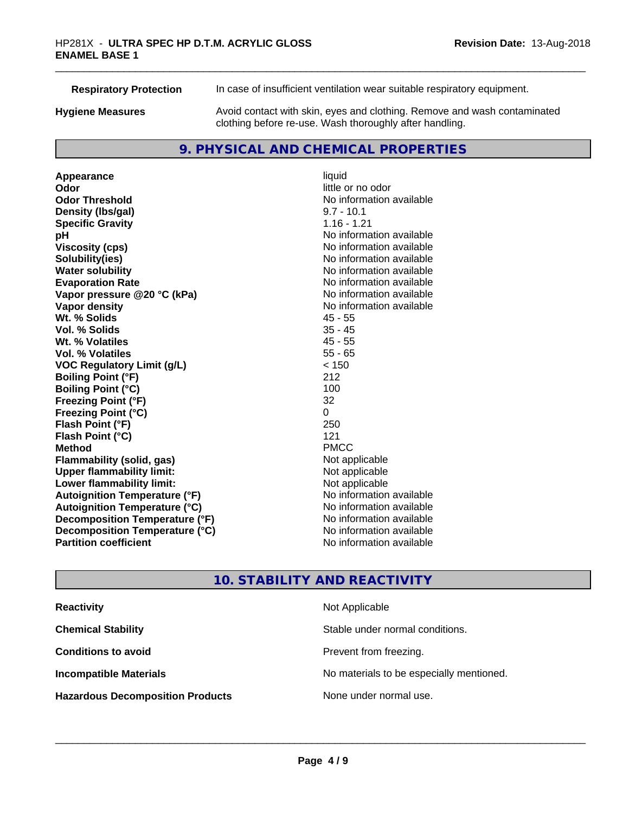| <b>Respiratory Protection</b> | In case of insufficient ventilation wear suitable respiratory equipment.                                                            |
|-------------------------------|-------------------------------------------------------------------------------------------------------------------------------------|
| <b>Hygiene Measures</b>       | Avoid contact with skin, eyes and clothing. Remove and wash contaminated<br>clothing before re-use. Wash thoroughly after handling. |

### **9. PHYSICAL AND CHEMICAL PROPERTIES**

**Appearance** liquid<br> **Appearance** liquid<br> **Odor Odor Odor** little or no odor<br> **Odor Threshold Containery of the Containery of the Containery of the Containery of the Containery of the Containery of the Containery of the Containery of the Containery of the Container Density (lbs/gal)** 9.7 - 10.1 **Specific Gravity** 1.16 - 1.21 **pH** No information available **Viscosity (cps)** No information available **Solubility(ies)**<br> **Solubility**<br> **Water solubility**<br> **Water solubility Evaporation Rate No information available No information available Vapor pressure @20 °C (kPa)** No information available **Vapor density No information available No** information available **Wt. % Solids** 45 - 55 **Vol. % Solids** 35 - 45 **Wt. % Volatiles Vol. % Volatiles** 55 - 65 **VOC Regulatory Limit (g/L)** < 150 **Boiling Point (°F)** 212 **Boiling Point (°C)** 100 **Freezing Point (°F)** 32 **Freezing Point (°C)** 0 **Flash Point (°F) Flash Point (°C)** 121 **Method** PMCC **Flammability (solid, gas)** Not applicable<br> **Upper flammability limit:** Not applicable **Upper flammability limit: Lower flammability limit:**<br> **Autoignition Temperature (°F)** Not applicable havailable available **Autoignition Temperature (°F) Autoignition Temperature (°C)** No information available **Decomposition Temperature (°F)** No information available **Decomposition Temperature (°C)** No information available **Partition coefficient Contract Contract Contract Contract Contract Contract Contract Contract Contract Contract Contract Contract Contract Contract Contract Contract Contract Contract Contract Contract Contract Contract** 

# **No information available No information available**

### **10. STABILITY AND REACTIVITY**

| <b>Reactivity</b>                       | Not Applicable                           |
|-----------------------------------------|------------------------------------------|
| <b>Chemical Stability</b>               | Stable under normal conditions.          |
| <b>Conditions to avoid</b>              | Prevent from freezing.                   |
| <b>Incompatible Materials</b>           | No materials to be especially mentioned. |
| <b>Hazardous Decomposition Products</b> | None under normal use.                   |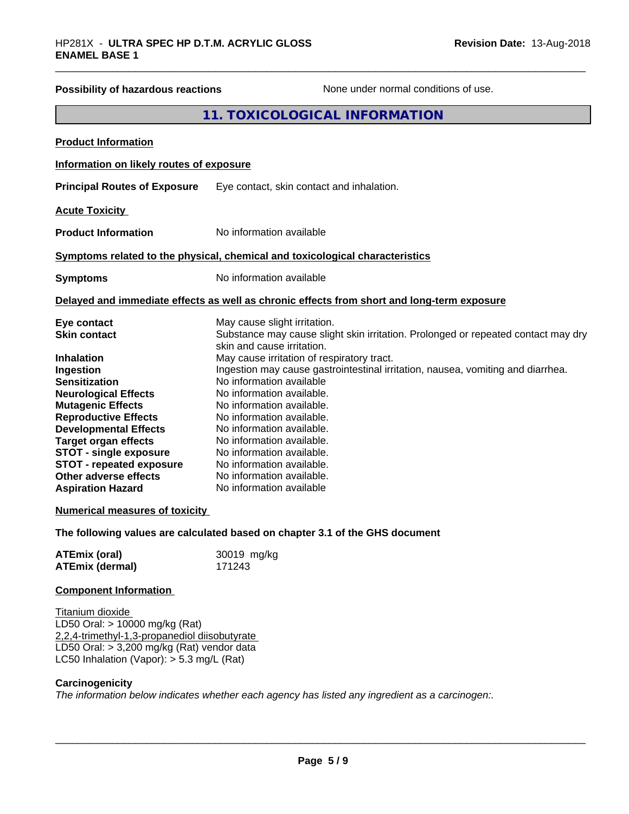| Possibility of hazardous reactions                                                                                                                                                                                                                                                                                                       | None under normal conditions of use.                                                                                                                                                                                                                                                                                                                                                                                          |  |
|------------------------------------------------------------------------------------------------------------------------------------------------------------------------------------------------------------------------------------------------------------------------------------------------------------------------------------------|-------------------------------------------------------------------------------------------------------------------------------------------------------------------------------------------------------------------------------------------------------------------------------------------------------------------------------------------------------------------------------------------------------------------------------|--|
|                                                                                                                                                                                                                                                                                                                                          | 11. TOXICOLOGICAL INFORMATION                                                                                                                                                                                                                                                                                                                                                                                                 |  |
| <b>Product Information</b>                                                                                                                                                                                                                                                                                                               |                                                                                                                                                                                                                                                                                                                                                                                                                               |  |
| Information on likely routes of exposure                                                                                                                                                                                                                                                                                                 |                                                                                                                                                                                                                                                                                                                                                                                                                               |  |
| <b>Principal Routes of Exposure</b>                                                                                                                                                                                                                                                                                                      | Eye contact, skin contact and inhalation.                                                                                                                                                                                                                                                                                                                                                                                     |  |
| <b>Acute Toxicity</b>                                                                                                                                                                                                                                                                                                                    |                                                                                                                                                                                                                                                                                                                                                                                                                               |  |
| <b>Product Information</b>                                                                                                                                                                                                                                                                                                               | No information available                                                                                                                                                                                                                                                                                                                                                                                                      |  |
|                                                                                                                                                                                                                                                                                                                                          | Symptoms related to the physical, chemical and toxicological characteristics                                                                                                                                                                                                                                                                                                                                                  |  |
| <b>Symptoms</b>                                                                                                                                                                                                                                                                                                                          | No information available                                                                                                                                                                                                                                                                                                                                                                                                      |  |
| Delayed and immediate effects as well as chronic effects from short and long-term exposure                                                                                                                                                                                                                                               |                                                                                                                                                                                                                                                                                                                                                                                                                               |  |
| Eye contact<br><b>Skin contact</b>                                                                                                                                                                                                                                                                                                       | May cause slight irritation.<br>Substance may cause slight skin irritation. Prolonged or repeated contact may dry<br>skin and cause irritation.                                                                                                                                                                                                                                                                               |  |
| <b>Inhalation</b><br>Ingestion<br><b>Sensitization</b><br><b>Neurological Effects</b><br><b>Mutagenic Effects</b><br><b>Reproductive Effects</b><br><b>Developmental Effects</b><br><b>Target organ effects</b><br><b>STOT - single exposure</b><br><b>STOT - repeated exposure</b><br>Other adverse effects<br><b>Aspiration Hazard</b> | May cause irritation of respiratory tract.<br>Ingestion may cause gastrointestinal irritation, nausea, vomiting and diarrhea.<br>No information available<br>No information available.<br>No information available.<br>No information available.<br>No information available.<br>No information available.<br>No information available.<br>No information available.<br>No information available.<br>No information available |  |
| <b>Numerical measures of toxicity</b>                                                                                                                                                                                                                                                                                                    |                                                                                                                                                                                                                                                                                                                                                                                                                               |  |
|                                                                                                                                                                                                                                                                                                                                          | The following values are calculated based on chapter 3.1 of the GHS document                                                                                                                                                                                                                                                                                                                                                  |  |
| <b>ATEmix (oral)</b><br><b>ATEmix (dermal)</b>                                                                                                                                                                                                                                                                                           | 30019 mg/kg<br>171243                                                                                                                                                                                                                                                                                                                                                                                                         |  |
| <b>Component Information</b>                                                                                                                                                                                                                                                                                                             |                                                                                                                                                                                                                                                                                                                                                                                                                               |  |
| Titanium dioxide<br>LD50 Oral: > 10000 mg/kg (Rat)<br>2,2,4-trimethyl-1,3-propanediol diisobutyrate<br>LD50 Oral: $> 3,200$ mg/kg (Rat) vendor data<br>LC50 Inhalation (Vapor): $> 5.3$ mg/L (Rat)                                                                                                                                       |                                                                                                                                                                                                                                                                                                                                                                                                                               |  |
| Carcinogenicity                                                                                                                                                                                                                                                                                                                          |                                                                                                                                                                                                                                                                                                                                                                                                                               |  |

*The information below indicateswhether each agency has listed any ingredient as a carcinogen:.*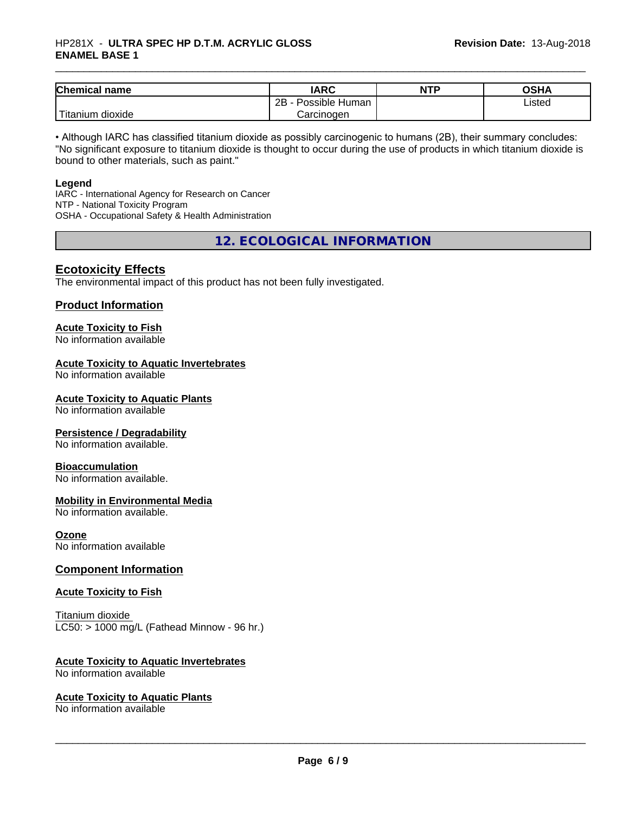### \_\_\_\_\_\_\_\_\_\_\_\_\_\_\_\_\_\_\_\_\_\_\_\_\_\_\_\_\_\_\_\_\_\_\_\_\_\_\_\_\_\_\_\_\_\_\_\_\_\_\_\_\_\_\_\_\_\_\_\_\_\_\_\_\_\_\_\_\_\_\_\_\_\_\_\_\_\_\_\_\_\_\_\_\_\_\_\_\_\_\_\_\_ HP281X - **ULTRA SPEC HP D.T.M. ACRYLIC GLOSS ENAMEL BASE 1**

| <b>Chemical name</b>         | <b>IARC</b>               | <b>NTP</b> | OSHA   |
|------------------------------|---------------------------|------------|--------|
|                              | .<br>2B<br>Possible Human |            | Listed |
| l ma<br>dioxide<br>I itanium | Carcinogen                |            |        |

• Although IARC has classified titanium dioxide as possibly carcinogenic to humans (2B), their summary concludes: "No significant exposure to titanium dioxide is thought to occur during the use of products in which titanium dioxide is bound to other materials, such as paint."

### **Legend**

IARC - International Agency for Research on Cancer NTP - National Toxicity Program OSHA - Occupational Safety & Health Administration

**12. ECOLOGICAL INFORMATION**

### **Ecotoxicity Effects**

The environmental impact of this product has not been fully investigated.

### **Product Information**

# **Acute Toxicity to Fish**

No information available

### **Acute Toxicity to Aquatic Invertebrates**

No information available

### **Acute Toxicity to Aquatic Plants**

No information available

### **Persistence / Degradability**

No information available.

### **Bioaccumulation**

No information available.

### **Mobility in Environmental Media**

No information available.

### **Ozone**

No information available

### **Component Information**

### **Acute Toxicity to Fish**

Titanium dioxide  $LC50:$  > 1000 mg/L (Fathead Minnow - 96 hr.)

### **Acute Toxicity to Aquatic Invertebrates**

No information available

### **Acute Toxicity to Aquatic Plants**

No information available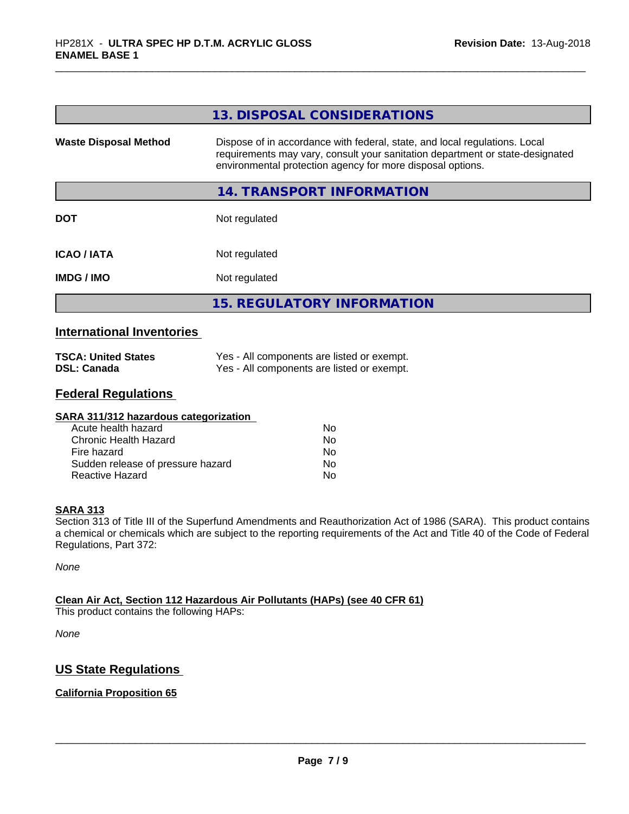|                              | 13. DISPOSAL CONSIDERATIONS                                                                                                                                                                                               |
|------------------------------|---------------------------------------------------------------------------------------------------------------------------------------------------------------------------------------------------------------------------|
| <b>Waste Disposal Method</b> | Dispose of in accordance with federal, state, and local regulations. Local<br>requirements may vary, consult your sanitation department or state-designated<br>environmental protection agency for more disposal options. |
|                              | 14. TRANSPORT INFORMATION                                                                                                                                                                                                 |
| <b>DOT</b>                   | Not regulated                                                                                                                                                                                                             |
| <b>ICAO / IATA</b>           | Not regulated                                                                                                                                                                                                             |
| <b>IMDG / IMO</b>            | Not regulated                                                                                                                                                                                                             |
|                              | <b>15. REGULATORY INFORMATION</b>                                                                                                                                                                                         |

### **International Inventories**

| <b>TSCA: United States</b> | Yes - All components are listed or exempt. |
|----------------------------|--------------------------------------------|
| <b>DSL: Canada</b>         | Yes - All components are listed or exempt. |

### **Federal Regulations**

| SARA 311/312 hazardous categorization |    |  |
|---------------------------------------|----|--|
| Acute health hazard                   | Nο |  |
| Chronic Health Hazard                 | No |  |
| Fire hazard                           | No |  |
| Sudden release of pressure hazard     | No |  |
| Reactive Hazard                       | No |  |

### **SARA 313**

Section 313 of Title III of the Superfund Amendments and Reauthorization Act of 1986 (SARA). This product contains a chemical or chemicals which are subject to the reporting requirements of the Act and Title 40 of the Code of Federal Regulations, Part 372:

*None*

### **Clean Air Act,Section 112 Hazardous Air Pollutants (HAPs) (see 40 CFR 61)**

This product contains the following HAPs:

*None*

### **US State Regulations**

### **California Proposition 65**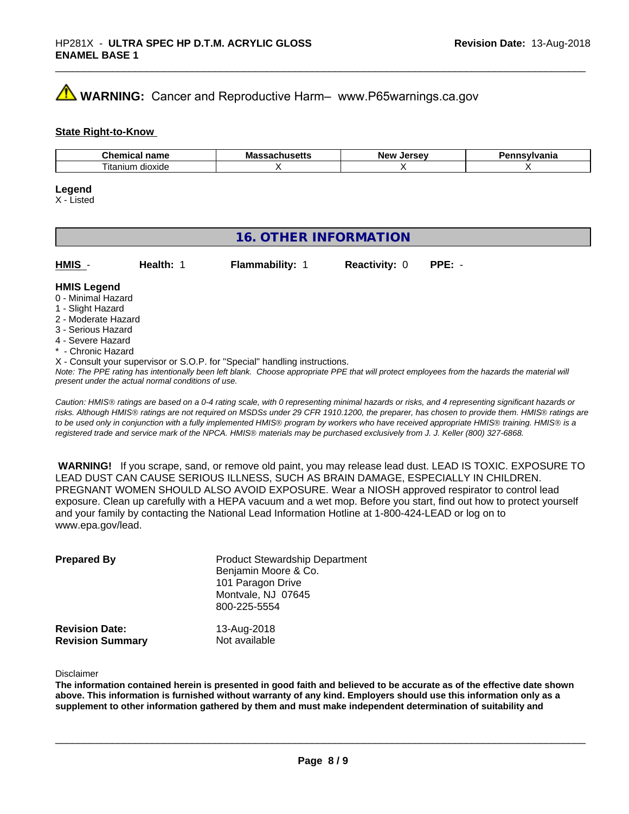## **WARNING:** Cancer and Reproductive Harm– www.P65warnings.ca.gov

### **State Right-to-Know**

| $-1$<br>пане<br>91 I I I<br>uu | ма<br>. | <b>AFCAU</b><br>…Ne…<br> | .<br>anıa |
|--------------------------------|---------|--------------------------|-----------|
| dioxide<br>l itanıum           |         |                          |           |

### **Legend**

X - Listed

### **16. OTHER INFORMATION**

| HMIS | Health: | <b>Flammability: 1</b> | <b>Reactivity: 0 PPE: -</b> |  |
|------|---------|------------------------|-----------------------------|--|
|      |         |                        |                             |  |

### **HMIS Legend**

- 0 Minimal Hazard
- 1 Slight Hazard
- 2 Moderate Hazard
- 3 Serious Hazard
- 4 Severe Hazard
- \* Chronic Hazard
- X Consult your supervisor or S.O.P. for "Special" handling instructions.

*Note: The PPE rating has intentionally been left blank. Choose appropriate PPE that will protect employees from the hazards the material will present under the actual normal conditions of use.*

*Caution: HMISÒ ratings are based on a 0-4 rating scale, with 0 representing minimal hazards or risks, and 4 representing significant hazards or risks. Although HMISÒ ratings are not required on MSDSs under 29 CFR 1910.1200, the preparer, has chosen to provide them. HMISÒ ratings are to be used only in conjunction with a fully implemented HMISÒ program by workers who have received appropriate HMISÒ training. HMISÒ is a registered trade and service mark of the NPCA. HMISÒ materials may be purchased exclusively from J. J. Keller (800) 327-6868.*

 **WARNING!** If you scrape, sand, or remove old paint, you may release lead dust. LEAD IS TOXIC. EXPOSURE TO LEAD DUST CAN CAUSE SERIOUS ILLNESS, SUCH AS BRAIN DAMAGE, ESPECIALLY IN CHILDREN. PREGNANT WOMEN SHOULD ALSO AVOID EXPOSURE.Wear a NIOSH approved respirator to control lead exposure. Clean up carefully with a HEPA vacuum and a wet mop. Before you start, find out how to protect yourself and your family by contacting the National Lead Information Hotline at 1-800-424-LEAD or log on to www.epa.gov/lead.

| <b>Prepared By</b>      | <b>Product Stewardship Department</b> |  |  |
|-------------------------|---------------------------------------|--|--|
|                         | Benjamin Moore & Co.                  |  |  |
|                         | 101 Paragon Drive                     |  |  |
|                         | Montvale, NJ 07645                    |  |  |
|                         | 800-225-5554                          |  |  |
| <b>Revision Date:</b>   | 13-Aug-2018                           |  |  |
| <b>Revision Summary</b> | Not available                         |  |  |

Disclaimer

The information contained herein is presented in good faith and believed to be accurate as of the effective date shown above. This information is furnished without warranty of any kind. Employers should use this information only as a **supplement to other information gathered by them and must make independent determination of suitability and**